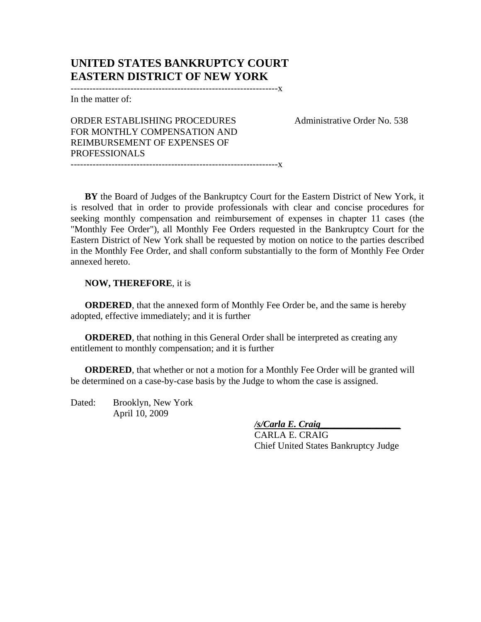# **UNITED STATES BANKRUPTCY COURT EASTERN DISTRICT OF NEW YORK**  ------------------------------------------------------------------x

In the matter of:

ORDER ESTABLISHING PROCEDURES Administrative Order No. 538 FOR MONTHLY COMPENSATION AND REIMBURSEMENT OF EXPENSES OF PROFESSIONALS ------------------------------------------------------------------x

**BY** the Board of Judges of the Bankruptcy Court for the Eastern District of New York, it is resolved that in order to provide professionals with clear and concise procedures for seeking monthly compensation and reimbursement of expenses in chapter 11 cases (the "Monthly Fee Order"), all Monthly Fee Orders requested in the Bankruptcy Court for the Eastern District of New York shall be requested by motion on notice to the parties described in the Monthly Fee Order, and shall conform substantially to the form of Monthly Fee Order annexed hereto.

#### **NOW, THEREFORE**, it is

**ORDERED**, that the annexed form of Monthly Fee Order be, and the same is hereby adopted, effective immediately; and it is further

**ORDERED**, that nothing in this General Order shall be interpreted as creating any entitlement to monthly compensation; and it is further

**ORDERED**, that whether or not a motion for a Monthly Fee Order will be granted will be determined on a case-by-case basis by the Judge to whom the case is assigned.

Dated: Brooklyn, New York April 10, 2009

 */s/Carla E. Craig\_\_\_\_\_\_\_\_\_\_\_\_\_\_\_\_\_*

 CARLA E. CRAIG Chief United States Bankruptcy Judge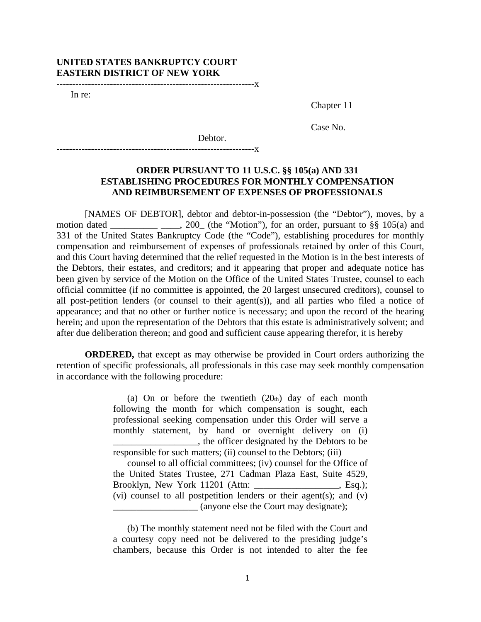# **UNITED STATES BANKRUPTCY COURT EASTERN DISTRICT OF NEW YORK**

---------------------------------------------------------------x

In re:

Chapter 11

Case No.

Debtor.

---------------------------------------------------------------x

### **ORDER PURSUANT TO 11 U.S.C. §§ 105(a) AND 331 ESTABLISHING PROCEDURES FOR MONTHLY COMPENSATION AND REIMBURSEMENT OF EXPENSES OF PROFESSIONALS**

[NAMES OF DEBTOR], debtor and debtor-in-possession (the "Debtor"), moves, by a motion dated \_\_\_\_\_\_\_\_\_\_\_\_\_, 200\_ (the "Motion"), for an order, pursuant to  $\S$ § 105(a) and 331 of the United States Bankruptcy Code (the "Code"), establishing procedures for monthly compensation and reimbursement of expenses of professionals retained by order of this Court, and this Court having determined that the relief requested in the Motion is in the best interests of the Debtors, their estates, and creditors; and it appearing that proper and adequate notice has been given by service of the Motion on the Office of the United States Trustee, counsel to each official committee (if no committee is appointed, the 20 largest unsecured creditors), counsel to all post-petition lenders (or counsel to their agent(s)), and all parties who filed a notice of appearance; and that no other or further notice is necessary; and upon the record of the hearing herein; and upon the representation of the Debtors that this estate is administratively solvent; and after due deliberation thereon; and good and sufficient cause appearing therefor, it is hereby

**ORDERED,** that except as may otherwise be provided in Court orders authorizing the retention of specific professionals, all professionals in this case may seek monthly compensation in accordance with the following procedure:

> (a) On or before the twentieth  $(20<sub>th</sub>)$  day of each month following the month for which compensation is sought, each professional seeking compensation under this Order will serve a monthly statement, by hand or overnight delivery on (i) \_\_\_\_\_\_\_\_\_\_\_\_\_\_\_\_\_\_, the officer designated by the Debtors to be responsible for such matters; (ii) counsel to the Debtors; (iii) counsel to all official committees; (iv) counsel for the Office of the United States Trustee, 271 Cadman Plaza East, Suite 4529, Brooklyn, New York 11201 (Attn: \_\_\_\_\_\_\_\_\_\_\_\_\_\_\_\_\_\_, Esq.); (vi) counsel to all postpetition lenders or their agent(s); and (v) \_\_\_\_\_\_\_\_\_\_\_\_\_\_\_\_\_\_ (anyone else the Court may designate);

> (b) The monthly statement need not be filed with the Court and a courtesy copy need not be delivered to the presiding judge's chambers, because this Order is not intended to alter the fee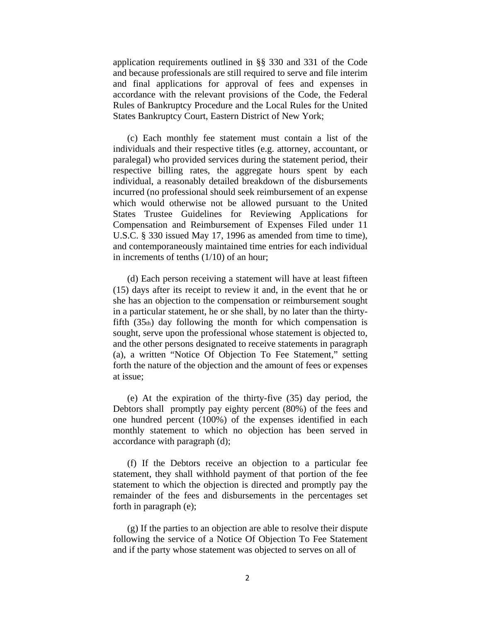application requirements outlined in §§ 330 and 331 of the Code and because professionals are still required to serve and file interim and final applications for approval of fees and expenses in accordance with the relevant provisions of the Code, the Federal Rules of Bankruptcy Procedure and the Local Rules for the United States Bankruptcy Court, Eastern District of New York;

(c) Each monthly fee statement must contain a list of the individuals and their respective titles (e.g. attorney, accountant, or paralegal) who provided services during the statement period, their respective billing rates, the aggregate hours spent by each individual, a reasonably detailed breakdown of the disbursements incurred (no professional should seek reimbursement of an expense which would otherwise not be allowed pursuant to the United States Trustee Guidelines for Reviewing Applications for Compensation and Reimbursement of Expenses Filed under 11 U.S.C. § 330 issued May 17, 1996 as amended from time to time), and contemporaneously maintained time entries for each individual in increments of tenths (1/10) of an hour;

(d) Each person receiving a statement will have at least fifteen (15) days after its receipt to review it and, in the event that he or she has an objection to the compensation or reimbursement sought in a particular statement, he or she shall, by no later than the thirtyfifth  $(35<sub>th</sub>)$  day following the month for which compensation is sought, serve upon the professional whose statement is objected to, and the other persons designated to receive statements in paragraph (a), a written "Notice Of Objection To Fee Statement," setting forth the nature of the objection and the amount of fees or expenses at issue;

(e) At the expiration of the thirty-five (35) day period, the Debtors shall promptly pay eighty percent (80%) of the fees and one hundred percent (100%) of the expenses identified in each monthly statement to which no objection has been served in accordance with paragraph (d);

(f) If the Debtors receive an objection to a particular fee statement, they shall withhold payment of that portion of the fee statement to which the objection is directed and promptly pay the remainder of the fees and disbursements in the percentages set forth in paragraph (e);

(g) If the parties to an objection are able to resolve their dispute following the service of a Notice Of Objection To Fee Statement and if the party whose statement was objected to serves on all of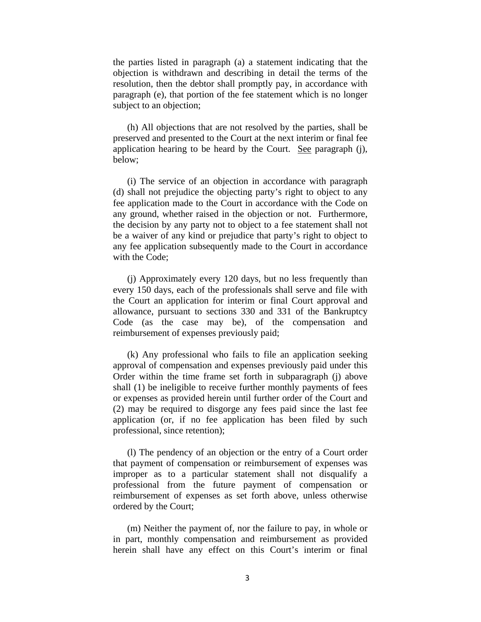the parties listed in paragraph (a) a statement indicating that the objection is withdrawn and describing in detail the terms of the resolution, then the debtor shall promptly pay, in accordance with paragraph (e), that portion of the fee statement which is no longer subject to an objection;

(h) All objections that are not resolved by the parties, shall be preserved and presented to the Court at the next interim or final fee application hearing to be heard by the Court. See paragraph (j), below;

(i) The service of an objection in accordance with paragraph (d) shall not prejudice the objecting party's right to object to any fee application made to the Court in accordance with the Code on any ground, whether raised in the objection or not. Furthermore, the decision by any party not to object to a fee statement shall not be a waiver of any kind or prejudice that party's right to object to any fee application subsequently made to the Court in accordance with the Code;

(j) Approximately every 120 days, but no less frequently than every 150 days, each of the professionals shall serve and file with the Court an application for interim or final Court approval and allowance, pursuant to sections 330 and 331 of the Bankruptcy Code (as the case may be), of the compensation and reimbursement of expenses previously paid;

(k) Any professional who fails to file an application seeking approval of compensation and expenses previously paid under this Order within the time frame set forth in subparagraph (j) above shall (1) be ineligible to receive further monthly payments of fees or expenses as provided herein until further order of the Court and (2) may be required to disgorge any fees paid since the last fee application (or, if no fee application has been filed by such professional, since retention);

(l) The pendency of an objection or the entry of a Court order that payment of compensation or reimbursement of expenses was improper as to a particular statement shall not disqualify a professional from the future payment of compensation or reimbursement of expenses as set forth above, unless otherwise ordered by the Court;

(m) Neither the payment of, nor the failure to pay, in whole or in part, monthly compensation and reimbursement as provided herein shall have any effect on this Court's interim or final